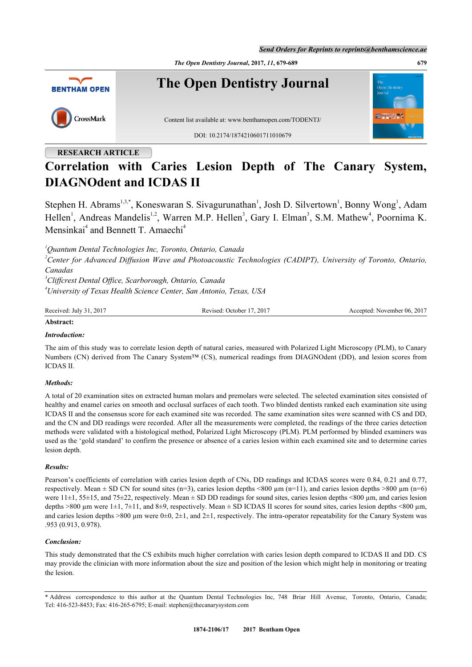*Send Orders for Reprints to reprints@benthamscience.ae*

*The Open Dentistry Journal***, 2017,** *11***, 679-689 679**



# **RESEARCH ARTICLE**

# **Correlation with Caries Lesion Depth of The Canary System, DIAGNOdent and ICDAS II**

Stephen H. Abrams<sup>[1](#page-0-0),[3](#page-0-1),[\\*](#page-0-2)</sup>, Koneswaran S. Sivagurunathan<sup>1</sup>, Josh D. Silvertown<sup>1</sup>, Bonny Wong<sup>1</sup>, Adam Hellen<sup>[1](#page-0-0)</sup>, Andreas Mandelis<sup>1,[2](#page-0-3)</sup>, Warren M.P. Hellen<sup>[3](#page-0-1)</sup>, Gary I. Elman<sup>3</sup>, S.M. Mathew<sup>[4](#page-0-4)</sup>, Poornima K. Mensinkai<sup>[4](#page-0-4)</sup> and Bennett T. Amaechi<sup>4</sup>

<span id="page-0-0"></span>*<sup>1</sup>Quantum Dental Technologies Inc, Toronto, Ontario, Canada*

<span id="page-0-3"></span>*<sup>2</sup>Center for Advanced Diffusion Wave and Photoacoustic Technologies (CADIPT), University of Toronto, Ontario, Canadas*

<span id="page-0-4"></span><span id="page-0-1"></span>*<sup>3</sup>Cliffcrest Dental Office, Scarborough, Ontario, Canada <sup>4</sup>University of Texas Health Science Center, San Antonio, Texas, USA*

Received: July 31, 2017 Revised: October 17, 2017 Accepted: November 06, 2017

#### **Abstract:**

### *Introduction:*

The aim of this study was to correlate lesion depth of natural caries, measured with Polarized Light Microscopy (PLM), to Canary Numbers (CN) derived from The Canary System™ (CS), numerical readings from DIAGNOdent (DD), and lesion scores from ICDAS II.

# *Methods:*

A total of 20 examination sites on extracted human molars and premolars were selected. The selected examination sites consisted of healthy and enamel caries on smooth and occlusal surfaces of each tooth. Two blinded dentists ranked each examination site using ICDAS II and the consensus score for each examined site was recorded. The same examination sites were scanned with CS and DD, and the CN and DD readings were recorded. After all the measurements were completed, the readings of the three caries detection methods were validated with a histological method, Polarized Light Microscopy (PLM). PLM performed by blinded examiners was used as the 'gold standard' to confirm the presence or absence of a caries lesion within each examined site and to determine caries lesion depth.

#### *Results:*

Pearson's coefficients of correlation with caries lesion depth of CNs, DD readings and ICDAS scores were 0.84, 0.21 and 0.77, respectively. Mean  $\pm$  SD CN for sound sites (n=3), caries lesion depths <800  $\mu$ m (n=11), and caries lesion depths >800  $\mu$ m (n=6) were  $11\pm1$ , 55 $\pm$ 15, and 75 $\pm$ 22, respectively. Mean  $\pm$  SD DD readings for sound sites, caries lesion depths <800 µm, and caries lesion depths  $>800 \mu m$  were 1±1, 7±11, and 8±9, respectively. Mean ± SD ICDAS II scores for sound sites, caries lesion depths <800  $\mu$ m, and caries lesion depths  $>800 \mu m$  were  $0\pm 0$ ,  $2\pm 1$ , and  $2\pm 1$ , respectively. The intra-operator repeatability for the Canary System was .953 (0.913, 0.978).

# *Conclusion:*

This study demonstrated that the CS exhibits much higher correlation with caries lesion depth compared to ICDAS II and DD. CS may provide the clinician with more information about the size and position of the lesion which might help in monitoring or treating the lesion.

<span id="page-0-2"></span>\* Address correspondence to this author at the Quantum Dental Technologies Inc, 748 Briar Hill Avenue, Toronto, Ontario, Canada; Tel: 416-523-8453; Fax: 416-265-6795; E-mail: [stephen@thecanarysystem.com](mailto:stephen@thecanarysystem.com)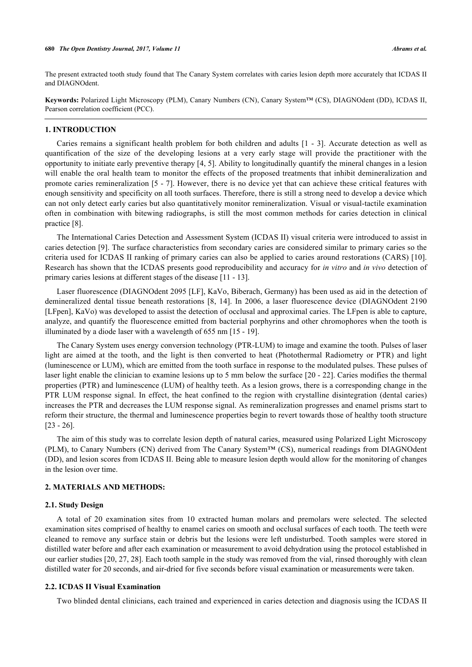The present extracted tooth study found that The Canary System correlates with caries lesion depth more accurately that ICDAS II and DIAGNOdent.

**Keywords:** Polarized Light Microscopy (PLM), Canary Numbers (CN), Canary System™ (CS), DIAGNOdent (DD), ICDAS II, Pearson correlation coefficient (PCC).

#### **1. INTRODUCTION**

Caries remains a significant health problem for both children and adults [[1](#page-8-0) - [3](#page-8-1)]. Accurate detection as well as quantification of the size of the developing lesions at a very early stage will provide the practitioner with the opportunity to initiate early preventive therapy [[4](#page-8-2), [5](#page-8-3)]. Ability to longitudinally quantify the mineral changes in a lesion will enable the oral health team to monitor the effects of the proposed treatments that inhibit demineralization and promote caries remineralization [[5](#page-8-3) - [7](#page-8-4)]. However, there is no device yet that can achieve these critical features with enough sensitivity and specificity on all tooth surfaces. Therefore, there is still a strong need to develop a device which can not only detect early caries but also quantitatively monitor remineralization. Visual or visual-tactile examination often in combination with bitewing radiographs, is still the most common methods for caries detection in clinical practice [\[8](#page-8-5)].

The International Caries Detection and Assessment System (ICDAS II) visual criteria were introduced to assist in caries detection [\[9](#page-8-6)]. The surface characteristics from secondary caries are considered similar to primary caries so the criteria used for ICDAS II ranking of primary caries can also be applied to caries around restorations (CARS) [\[10\]](#page-8-7). Research has shown that the ICDAS presents good reproducibility and accuracy for *in vitro* and *in vivo* detection of primary caries lesions at different stages of the disease [[11](#page-8-8) - [13](#page-8-9)].

Laser fluorescence (DIAGNOdent 2095 [LF], KaVo, Biberach, Germany) has been used as aid in the detection of demineralized dental tissue beneath restorations [\[8](#page-8-5), [14\]](#page-8-10). In 2006, a laser fluorescence device (DIAGNOdent 2190 [LFpen], KaVo) was developed to assist the detection of occlusal and approximal caries. The LFpen is able to capture, analyze, and quantify the fluorescence emitted from bacterial porphyrins and other chromophores when the tooth is illuminated by a diode laser with a wavelength of 655 nm [\[15](#page-8-11) - [19](#page-8-12)].

The Canary System uses energy conversion technology (PTR-LUM) to image and examine the tooth. Pulses of laser light are aimed at the tooth, and the light is then converted to heat (Photothermal Radiometry or PTR) and light (luminescence or LUM), which are emitted from the tooth surface in response to the modulated pulses. These pulses of laser light enable the clinician to examine lesions up to 5 mm below the surface [[20](#page-8-13) - [22](#page-9-0)]. Caries modifies the thermal properties (PTR) and luminescence (LUM) of healthy teeth. As a lesion grows, there is a corresponding change in the PTR LUM response signal. In effect, the heat confined to the region with crystalline disintegration (dental caries) increases the PTR and decreases the LUM response signal. As remineralization progresses and enamel prisms start to reform their structure, the thermal and luminescence properties begin to revert towards those of healthy tooth structure [\[23](#page-9-1) - [26](#page-9-2)].

The aim of this study was to correlate lesion depth of natural caries, measured using Polarized Light Microscopy (PLM), to Canary Numbers (CN) derived from The Canary System™ (CS), numerical readings from DIAGNOdent (DD), and lesion scores from ICDAS II. Being able to measure lesion depth would allow for the monitoring of changes in the lesion over time.

#### **2. MATERIALS AND METHODS:**

# **2.1. Study Design**

A total of 20 examination sites from 10 extracted human molars and premolars were selected. The selected examination sites comprised of healthy to enamel caries on smooth and occlusal surfaces of each tooth. The teeth were cleaned to remove any surface stain or debris but the lesions were left undisturbed. Tooth samples were stored in distilled water before and after each examination or measurement to avoid dehydration using the protocol established in our earlier studies [[20,](#page-8-13) [27,](#page-9-3) [28](#page-9-4)]. Each tooth sample in the study was removed from the vial, rinsed thoroughly with clean distilled water for 20 seconds, and air-dried for five seconds before visual examination or measurements were taken.

# **2.2. ICDAS II Visual Examination**

Two blinded dental clinicians, each trained and experienced in caries detection and diagnosis using the ICDAS II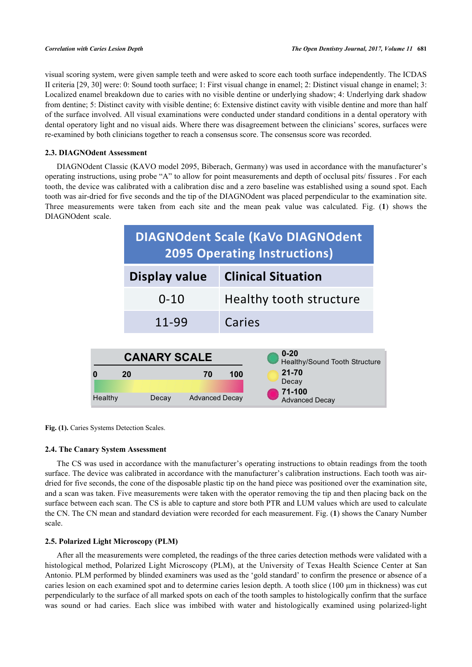visual scoring system, were given sample teeth and were asked to score each tooth surface independently. The ICDAS II criteria [\[29](#page-9-5), [30](#page-9-6)] were: 0: Sound tooth surface; 1: First visual change in enamel; 2: Distinct visual change in enamel; 3: Localized enamel breakdown due to caries with no visible dentine or underlying shadow; 4: Underlying dark shadow from dentine; 5: Distinct cavity with visible dentine; 6: Extensive distinct cavity with visible dentine and more than half of the surface involved. All visual examinations were conducted under standard conditions in a dental operatory with dental operatory light and no visual aids. Where there was disagreement between the clinicians' scores, surfaces were re-examined by both clinicians together to reach a consensus score. The consensus score was recorded.

# **2.3. DIAGNOdent Assessment**

<span id="page-2-0"></span>DIAGNOdent Classic (KAVO model 2095, Biberach, Germany) was used in accordance with the manufacturer's operating instructions, using probe "A" to allow for point measurements and depth of occlusal pits/ fissures . For each tooth, the device was calibrated with a calibration disc and a zero baseline was established using a sound spot. Each tooth was air-dried for five seconds and the tip of the DIAGNOdent was placed perpendicular to the examination site. Three measurements were taken from each site and the mean peak value was calculated. Fig. (**[1](#page-2-0)**) shows the DIAGNOdent scale.



Fig. (1). Caries Systems Detection Scales.

# **2.4. The Canary System Assessment**

The CS was used in accordance with the manufacturer's operating instructions to obtain readings from the tooth surface. The device was calibrated in accordance with the manufacturer's calibration instructions. Each tooth was airdried for five seconds, the cone of the disposable plastic tip on the hand piece was positioned over the examination site, and a scan was taken. Five measurements were taken with the operator removing the tip and then placing back on the surface between each scan. The CS is able to capture and store both PTR and LUM values which are used to calculate the CN. The CN mean and standard deviation were recorded for each measurement. Fig. (**[1](#page-2-0)**) shows the Canary Number scale.

# **2.5. Polarized Light Microscopy (PLM)**

After all the measurements were completed, the readings of the three caries detection methods were validated with a histological method, Polarized Light Microscopy (PLM), at the University of Texas Health Science Center at San Antonio. PLM performed by blinded examiners was used as the 'gold standard' to confirm the presence or absence of a caries lesion on each examined spot and to determine caries lesion depth. A tooth slice (100  $\mu$ m in thickness) was cut perpendicularly to the surface of all marked spots on each of the tooth samples to histologically confirm that the surface was sound or had caries. Each slice was imbibed with water and histologically examined using polarized-light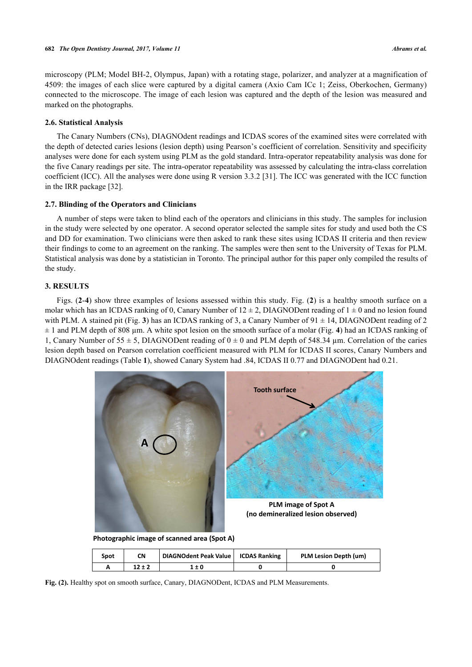microscopy (PLM; Model BH-2, Olympus, Japan) with a rotating stage, polarizer, and analyzer at a magnification of 4509: the images of each slice were captured by a digital camera (Axio Cam ICc 1; Zeiss, Oberkochen, Germany) connected to the microscope. The image of each lesion was captured and the depth of the lesion was measured and marked on the photographs.

#### **2.6. Statistical Analysis**

The Canary Numbers (CNs), DIAGNOdent readings and ICDAS scores of the examined sites were correlated with the depth of detected caries lesions (lesion depth) using Pearson's coefficient of correlation. Sensitivity and specificity analyses were done for each system using PLM as the gold standard. Intra-operator repeatability analysis was done for the five Canary readings per site. The intra-operator repeatability was assessed by calculating the intra-class correlation coefficient (ICC). All the analyses were done using R version 3.3.2 [\[31](#page-9-7)]. The ICC was generated with the ICC function in the IRR package [\[32](#page-9-8)].

# **2.7. Blinding of the Operators and Clinicians**

A number of steps were taken to blind each of the operators and clinicians in this study. The samples for inclusion in the study were selected by one operator. A second operator selected the sample sites for study and used both the CS and DD for examination. Two clinicians were then asked to rank these sites using ICDAS II criteria and then review their findings to come to an agreement on the ranking. The samples were then sent to the University of Texas for PLM. Statistical analysis was done by a statistician in Toronto. The principal author for this paper only compiled the results of the study.

#### **3. RESULTS**

Figs. (**[2](#page-3-0)**-**[4](#page-4-0)**) show three examples of lesions assessed within this study. Fig. (**[2](#page-3-0)**) is a healthy smooth surface on a molar which has an ICDAS ranking of 0, Canary Number of  $12 \pm 2$ , DIAGNODent reading of  $1 \pm 0$  and no lesion found with PLM. A stained pit (Fig. [3](#page-3-1)) has an ICDAS ranking of 3, a Canary Number of  $91 \pm 14$ , DIAGNODent reading of 2 ± 1 and PLM depth of 808 µm. A white spot lesion on the smooth surface of a molar (Fig. **[4](#page-4-0)**) had an ICDAS ranking of 1, Canary Number of 55  $\pm$  5, DIAGNODent reading of 0  $\pm$  0 and PLM depth of 548.34 µm. Correlation of the caries lesion depth based on Pearson correlation coefficient measured with PLM for ICDAS II scores, Canary Numbers and DIAGNOdent readings (Table **[1](#page-4-1)**), showed Canary System had .84, ICDAS II 0.77 and DIAGNODent had 0.21.

<span id="page-3-0"></span>

<span id="page-3-1"></span>**Fig. (2).** Healthy spot on smooth surface, Canary, DIAGNODent, ICDAS and PLM Measurements.

**A 12 ± 2 1 ± 0 0 0**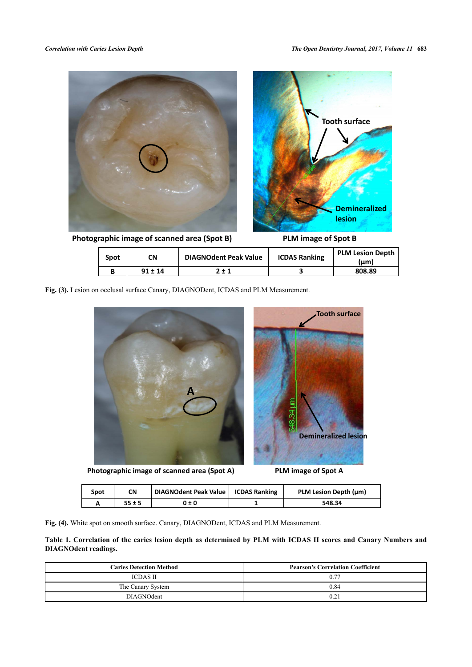

**Photographic image of scanned area (Spot B) PLM image of Spot B**

| Spot | CN          | <b>DIAGNOdent Peak Value</b> | <b>ICDAS Ranking</b> | <b>PLM Lesion Depth</b><br>(µm) |
|------|-------------|------------------------------|----------------------|---------------------------------|
|      | $91 \pm 14$ | $7 + 1$                      |                      | 808.89                          |

<span id="page-4-0"></span>**Fig. (3).** Lesion on occlusal surface Canary, DIAGNODent, ICDAS and PLM Measurement.



**Photographic image of scanned area (Spot A) PLM image of Spot A**

| Spot | CN   | DIAGNOdent Peak Value   ICDAS Ranking | PLM Lesion Depth (µm) |
|------|------|---------------------------------------|-----------------------|
|      | 55±5 | 0 ± 0                                 | 548.34                |

**Fig. (4).** White spot on smooth surface. Canary, DIAGNODent, ICDAS and PLM Measurement.

<span id="page-4-1"></span>**Table 1. Correlation of the caries lesion depth as determined by PLM with ICDAS II scores and Canary Numbers and DIAGNOdent readings.**

| <b>Caries Detection Method</b> | <b>Pearson's Correlation Coefficient</b> |  |
|--------------------------------|------------------------------------------|--|
| <b>ICDAS II</b>                | 0.77                                     |  |
| The Canary System              | 0.84                                     |  |
| <b>DIAGNOdent</b>              | 0.21                                     |  |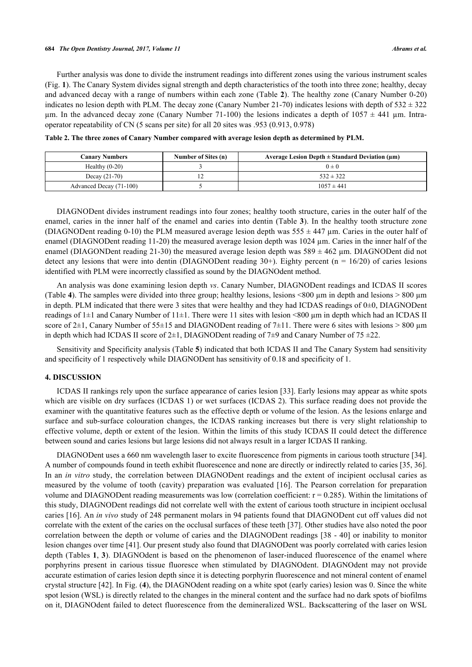Further analysis was done to divide the instrument readings into different zones using the various instrument scales (Fig. **[1](#page-2-0)**). The Canary System divides signal strength and depth characteristics of the tooth into three zone; healthy, decay and advanced decay with a range of numbers within each zone (Table **[2](#page-5-0)**). The healthy zone (Canary Number 0-20) indicates no lesion depth with PLM. The decay zone (Canary Number 21-70) indicates lesions with depth of  $532 \pm 322$ µm. In the advanced decay zone (Canary Number 71-100) the lesions indicates a depth of  $1057 \pm 441$  µm. Intraoperator repeatability of CN (5 scans per site) for all 20 sites was .953 (0.913, 0.978)

| <b>Canary Numbers</b>   | Number of Sites (n) | Average Lesion Depth $\pm$ Standard Deviation ( $\mu$ m) |
|-------------------------|---------------------|----------------------------------------------------------|
| Healthy $(0-20)$        |                     | $0 \pm 0$                                                |
| Decay $(21-70)$         | $\overline{1}$      | $532 \pm 322$                                            |
| Advanced Decay (71-100) |                     | $1057 \pm 441$                                           |

<span id="page-5-0"></span>**Table 2. The three zones of Canary Number compared with average lesion depth as determined by PLM.**

DIAGNODent divides instrument readings into four zones; healthy tooth structure, caries in the outer half of the enamel, caries in the inner half of the enamel and caries into dentin (Table **[3](#page-6-0)**). In the healthy tooth structure zone (DIAGNODent reading 0-10) the PLM measured average lesion depth was  $555 \pm 447$  µm. Caries in the outer half of enamel (DIAGNODent reading 11-20) the measured average lesion depth was 1024 µm. Caries in the inner half of the enamel (DIAGONDent reading 21-30) the measured average lesion depth was  $589 \pm 462$  µm. DIAGNODent did not detect any lesions that were into dentin (DIAGNODent reading  $30+$ ). Eighty percent (n = 16/20) of caries lesions identified with PLM were incorrectly classified as sound by the DIAGNOdent method.

An analysis was done examining lesion depth *vs*. Canary Number, DIAGNODent readings and ICDAS II scores (Table [4](#page-7-0)). The samples were divided into three group; healthy lesions, lesions  $\leq 800 \,\mu m$  in depth and lesions  $> 800 \,\mu m$ in depth. PLM indicated that there were 3 sites that were healthy and they had ICDAS readings of  $0\pm 0$ , DIAGNODent readings of  $1\pm 1$  and Canary Number of  $11\pm 1$ . There were 11 sites with lesion <800 µm in depth which had an ICDAS II score of 2 $\pm$ 1, Canary Number of 55 $\pm$ 15 and DIAGNODent reading of 7 $\pm$ 11. There were 6 sites with lesions > 800 µm in depth which had ICDAS II score of  $2\pm 1$ , DIAGNODent reading of  $7\pm 9$  and Canary Number of  $75 \pm 22$ .

Sensitivity and Specificity analysis (Table **[5](#page-7-1)**) indicated that both ICDAS II and The Canary System had sensitivity and specificity of 1 respectively while DIAGNODent has sensitivity of 0.18 and specificity of 1.

# **4. DISCUSSION**

ICDAS II rankings rely upon the surface appearance of caries lesion [[33](#page-9-9)]. Early lesions may appear as white spots which are visible on dry surfaces (ICDAS 1) or wet surfaces (ICDAS 2). This surface reading does not provide the examiner with the quantitative features such as the effective depth or volume of the lesion. As the lesions enlarge and surface and sub-surface colouration changes, the ICDAS ranking increases but there is very slight relationship to effective volume, depth or extent of the lesion. Within the limits of this study ICDAS II could detect the difference between sound and caries lesions but large lesions did not always result in a larger ICDAS II ranking.

DIAGNODent uses a 660 nm wavelength laser to excite fluorescence from pigments in carious tooth structure [[34\]](#page-9-10). A number of compounds found in teeth exhibit fluorescence and none are directly or indirectly related to caries [[35,](#page-9-11) [36\]](#page-9-12). In an *in vitro* study, the correlation between DIAGNODent readings and the extent of incipient occlusal caries as measured by the volume of tooth (cavity) preparation was evaluated [[16\]](#page-8-14). The Pearson correlation for preparation volume and DIAGNODent reading measurements was low (correlation coefficient:  $r = 0.285$ ). Within the limitations of this study, DIAGNODent readings did not correlate well with the extent of carious tooth structure in incipient occlusal caries [[16](#page-8-14)]. An *in vivo* study of 248 permanent molars in 94 patients found that DIAGNODent cut off values did not correlate with the extent of the caries on the occlusal surfaces of these teeth [\[37](#page-9-13)]. Other studies have also noted the poor correlation between the depth or volume of caries and the DIAGNODent readings [[38](#page-9-14) - [40\]](#page-9-15) or inability to monitor lesion changes over time [\[41](#page-10-0)]. Our present study also found that DIAGNODent was poorly correlated with caries lesion depth (Tables **[1](#page-4-1)**, **[3](#page-6-0)**). DIAGNOdent is based on the phenomenon of laser-induced fluorescence of the enamel where porphyrins present in carious tissue fluoresce when stimulated by DIAGNOdent. DIAGNOdent may not provide accurate estimation of caries lesion depth since it is detecting porphyrin fluorescence and not mineral content of enamel crystal structure [[42\]](#page-10-1). In Fig. (**[4](#page-4-0)**), the DIAGNOdent reading on a white spot (early caries) lesion was 0. Since the white spot lesion (WSL) is directly related to the changes in the mineral content and the surface had no dark spots of biofilms on it, DIAGNOdent failed to detect fluorescence from the demineralized WSL. Backscattering of the laser on WSL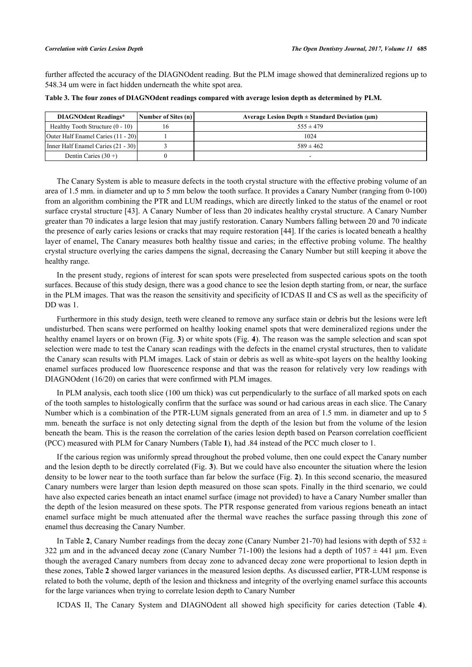further affected the accuracy of the DIAGNOdent reading. But the PLM image showed that demineralized regions up to 548.34 um were in fact hidden underneath the white spot area.

| <b>DIAGNOdent Readings*</b>      | Number of Sites (n) | Average Lesion Depth $\pm$ Standard Deviation ( $\mu$ m) |
|----------------------------------|---------------------|----------------------------------------------------------|
| Healthy Tooth Structure (0 - 10) |                     | $.55 \pm 479$                                            |

<span id="page-6-0"></span>**Table 3. The four zones of DIAGNOdent readings compared with average lesion depth as determined by PLM.**

| <b>DIAGNOdent Readings*</b>               | Number of Sites (n) | Average Lesion Depth $\pm$ Standard Deviation ( $\mu$ m) |
|-------------------------------------------|---------------------|----------------------------------------------------------|
| Healthy Tooth Structure (0 - 10)          |                     | $555 \pm 479$                                            |
| <b>Outer Half Enamel Caries (11 - 20)</b> |                     | 1024                                                     |
| Inner Half Enamel Caries (21 - 30)        |                     | $589 \pm 462$                                            |
| Dentin Caries $(30 +)$                    |                     |                                                          |

The Canary System is able to measure defects in the tooth crystal structure with the effective probing volume of an area of 1.5 mm. in diameter and up to 5 mm below the tooth surface. It provides a Canary Number (ranging from 0-100) from an algorithm combining the PTR and LUM readings, which are directly linked to the status of the enamel or root surface crystal structure [[43\]](#page-10-2). A Canary Number of less than 20 indicates healthy crystal structure. A Canary Number greater than 70 indicates a large lesion that may justify restoration. Canary Numbers falling between 20 and 70 indicate the presence of early caries lesions or cracks that may require restoration [[44\]](#page-10-3). If the caries is located beneath a healthy layer of enamel, The Canary measures both healthy tissue and caries; in the effective probing volume. The healthy crystal structure overlying the caries dampens the signal, decreasing the Canary Number but still keeping it above the healthy range.

In the present study, regions of interest for scan spots were preselected from suspected carious spots on the tooth surfaces. Because of this study design, there was a good chance to see the lesion depth starting from, or near, the surface in the PLM images. That was the reason the sensitivity and specificity of ICDAS II and CS as well as the specificity of DD was 1.

Furthermore in this study design, teeth were cleaned to remove any surface stain or debris but the lesions were left undisturbed. Then scans were performed on healthy looking enamel spots that were demineralized regions under the healthy enamel layers or on brown (Fig. **[3](#page-3-1)**) or white spots (Fig. **[4](#page-4-0)**). The reason was the sample selection and scan spot selection were made to test the Canary scan readings with the defects in the enamel crystal structures, then to validate the Canary scan results with PLM images. Lack of stain or debris as well as white-spot layers on the healthy looking enamel surfaces produced low fluorescence response and that was the reason for relatively very low readings with DIAGNOdent (16/20) on caries that were confirmed with PLM images.

In PLM analysis, each tooth slice (100 um thick) was cut perpendicularly to the surface of all marked spots on each of the tooth samples to histologically confirm that the surface was sound or had carious areas in each slice. The Canary Number which is a combination of the PTR-LUM signals generated from an area of 1.5 mm. in diameter and up to 5 mm. beneath the surface is not only detecting signal from the depth of the lesion but from the volume of the lesion beneath the beam. This is the reason the correlation of the caries lesion depth based on Pearson correlation coefficient (PCC) measured with PLM for Canary Numbers (Table **[1](#page-4-1)**), had .84 instead of the PCC much closer to 1.

If the carious region was uniformly spread throughout the probed volume, then one could expect the Canary number and the lesion depth to be directly correlated (Fig. **[3](#page-3-1)**). But we could have also encounter the situation where the lesion density to be lower near to the tooth surface than far below the surface (Fig. **[2](#page-3-0)**). In this second scenario, the measured Canary numbers were larger than lesion depth measured on those scan spots. Finally in the third scenario, we could have also expected caries beneath an intact enamel surface (image not provided) to have a Canary Number smaller than the depth of the lesion measured on these spots. The PTR response generated from various regions beneath an intact enamel surface might be much attenuated after the thermal wave reaches the surface passing through this zone of enamel thus decreasing the Canary Number.

In Table [2](#page-5-0), Canary Number readings from the decay zone (Canary Number 21-70) had lesions with depth of  $532 \pm$ 322 um and in the advanced decay zone (Canary Number 71-100) the lesions had a depth of  $1057 \pm 441$  um. Even though the averaged Canary numbers from decay zone to advanced decay zone were proportional to lesion depth in these zones, Table **[2](#page-5-0)** showed larger variances in the measured lesion depths. As discussed earlier, PTR-LUM response is related to both the volume, depth of the lesion and thickness and integrity of the overlying enamel surface this accounts for the large variances when trying to correlate lesion depth to Canary Number

ICDAS II, The Canary System and DIAGNOdent all showed high specificity for caries detection (Table**4**).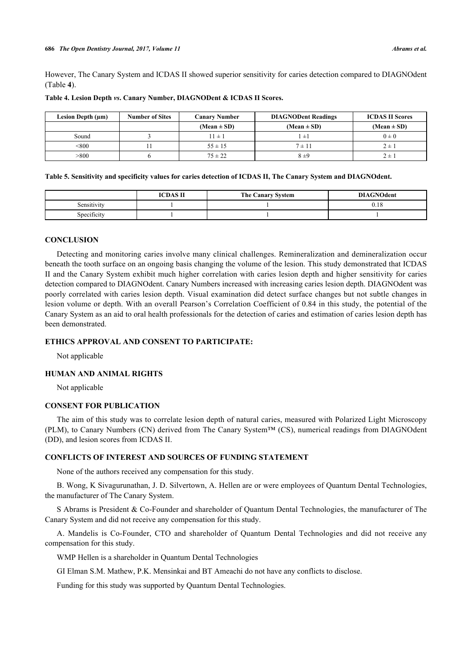However, The Canary System and ICDAS II showed superior sensitivity for caries detection compared to DIAGNOdent (Table **[4](#page-7-0)**).

| <b>Number of Sites</b><br>Lesion Depth (µm) |  | <b>Canary Number</b> | <b>DIAGNODent Readings</b> | <b>ICDAS II Scores</b> |
|---------------------------------------------|--|----------------------|----------------------------|------------------------|
|                                             |  | $(Mean \pm SD)$      | $(Mean \pm SD)$            | $(Mean \pm SD)$        |
| Sound                                       |  | $11 \pm 1$           | $"\pm$                     | $0 \pm 0$              |
| < 800                                       |  | $55 \pm 15$          | $7 \pm 11$                 | $2 \pm i$              |
| >800                                        |  | $75 \pm 22$          | 8±9                        | $2 \pm$                |

<span id="page-7-0"></span>**Table 4. Lesion Depth** *vs***. Canary Number, DIAGNODent & ICDAS II Scores.**

<span id="page-7-1"></span>**Table 5. Sensitivity and specificity values for caries detection of ICDAS II, The Canary System and DIAGNOdent.**

|             | <b>ICDAS II</b> | <b>The Canary System</b> | <b>DIAGNOdent</b> |
|-------------|-----------------|--------------------------|-------------------|
| Sensitivity |                 |                          | 0.18              |
| Specificity |                 |                          |                   |

#### **CONCLUSION**

Detecting and monitoring caries involve many clinical challenges. Remineralization and demineralization occur beneath the tooth surface on an ongoing basis changing the volume of the lesion. This study demonstrated that ICDAS II and the Canary System exhibit much higher correlation with caries lesion depth and higher sensitivity for caries detection compared to DIAGNOdent. Canary Numbers increased with increasing caries lesion depth. DIAGNOdent was poorly correlated with caries lesion depth. Visual examination did detect surface changes but not subtle changes in lesion volume or depth. With an overall Pearson's Correlation Coefficient of 0.84 in this study, the potential of the Canary System as an aid to oral health professionals for the detection of caries and estimation of caries lesion depth has been demonstrated.

# **ETHICS APPROVAL AND CONSENT TO PARTICIPATE:**

Not applicable

#### **HUMAN AND ANIMAL RIGHTS**

Not applicable

# **CONSENT FOR PUBLICATION**

The aim of this study was to correlate lesion depth of natural caries, measured with Polarized Light Microscopy (PLM), to Canary Numbers (CN) derived from The Canary System™ (CS), numerical readings from DIAGNOdent (DD), and lesion scores from ICDAS II.

### **CONFLICTS OF INTEREST AND SOURCES OF FUNDING STATEMENT**

None of the authors received any compensation for this study.

B. Wong, K Sivagurunathan, J. D. Silvertown, A. Hellen are or were employees of Quantum Dental Technologies, the manufacturer of The Canary System.

S Abrams is President & Co-Founder and shareholder of Quantum Dental Technologies, the manufacturer of The Canary System and did not receive any compensation for this study.

A. Mandelis is Co-Founder, CTO and shareholder of Quantum Dental Technologies and did not receive any compensation for this study.

WMP Hellen is a shareholder in Quantum Dental Technologies

GI Elman S.M. Mathew, P.K. Mensinkai and BT Ameachi do not have any conflicts to disclose.

Funding for this study was supported by Quantum Dental Technologies.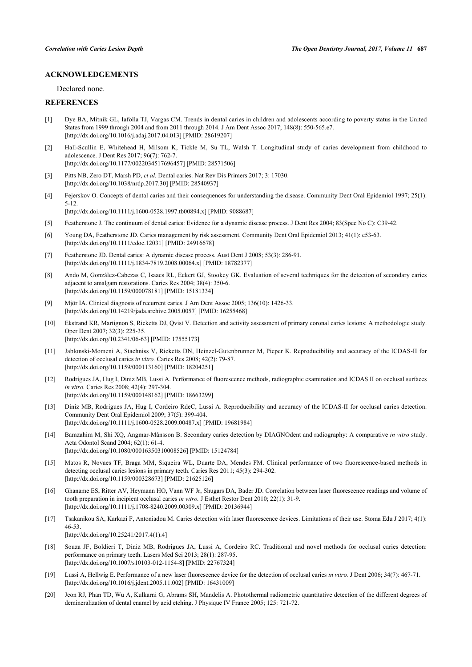# **ACKNOWLEDGEMENTS**

Declared none.

# **REFERENCES**

- <span id="page-8-0"></span>[1] Dye BA, Mitnik GL, Iafolla TJ, Vargas CM. Trends in dental caries in children and adolescents according to poverty status in the United States from 1999 through 2004 and from 2011 through 2014. J Am Dent Assoc 2017; 148(8): 550-565.e7. [\[http://dx.doi.org/10.1016/j.adaj.2017.04.013](http://dx.doi.org/10.1016/j.adaj.2017.04.013)] [PMID: [28619207\]](http://www.ncbi.nlm.nih.gov/pubmed/28619207)
- [2] Hall-Scullin E, Whitehead H, Milsom K, Tickle M, Su TL, Walsh T. Longitudinal study of caries development from childhood to adolescence. J Dent Res 2017; 96(7): 762-7. [\[http://dx.doi.org/10.1177/0022034517696457\]](http://dx.doi.org/10.1177/0022034517696457) [PMID: [28571506](http://www.ncbi.nlm.nih.gov/pubmed/28571506)]
- <span id="page-8-1"></span>[3] Pitts NB, Zero DT, Marsh PD, *et al.* Dental caries. Nat Rev Dis Primers 2017; 3: 17030. [\[http://dx.doi.org/10.1038/nrdp.2017.30](http://dx.doi.org/10.1038/nrdp.2017.30)] [PMID: [28540937](http://www.ncbi.nlm.nih.gov/pubmed/28540937)]
- <span id="page-8-2"></span>[4] Fejerskov O. Concepts of dental caries and their consequences for understanding the disease. Community Dent Oral Epidemiol 1997; 25(1): 5-12.

[\[http://dx.doi.org/10.1111/j.1600-0528.1997.tb00894.x\]](http://dx.doi.org/10.1111/j.1600-0528.1997.tb00894.x) [PMID: [9088687](http://www.ncbi.nlm.nih.gov/pubmed/9088687)]

- <span id="page-8-3"></span>[5] Featherstone J. The continuum of dental caries: Evidence for a dynamic disease process. J Dent Res 2004; 83(Spec No C): C39-42.
- [6] Young DA, Featherstone JD. Caries management by risk assessment. Community Dent Oral Epidemiol 2013; 41(1): e53-63. [\[http://dx.doi.org/10.1111/cdoe.12031\]](http://dx.doi.org/10.1111/cdoe.12031) [PMID: [24916678](http://www.ncbi.nlm.nih.gov/pubmed/24916678)]
- <span id="page-8-4"></span>[7] Featherstone JD. Dental caries: A dynamic disease process. Aust Dent J 2008; 53(3): 286-91. [\[http://dx.doi.org/10.1111/j.1834-7819.2008.00064.x\]](http://dx.doi.org/10.1111/j.1834-7819.2008.00064.x) [PMID: [18782377](http://www.ncbi.nlm.nih.gov/pubmed/18782377)]
- <span id="page-8-5"></span>[8] Ando M, González-Cabezas C, Isaacs RL, Eckert GJ, Stookey GK. Evaluation of several techniques for the detection of secondary caries adjacent to amalgam restorations. Caries Res 2004; 38(4): 350-6. [\[http://dx.doi.org/10.1159/000078181\]](http://dx.doi.org/10.1159/000078181) [PMID: [15181334](http://www.ncbi.nlm.nih.gov/pubmed/15181334)]
- <span id="page-8-6"></span>[9] Mjör IA. Clinical diagnosis of recurrent caries. J Am Dent Assoc 2005; 136(10): 1426-33. [\[http://dx.doi.org/10.14219/jada.archive.2005.0057\]](http://dx.doi.org/10.14219/jada.archive.2005.0057) [PMID: [16255468](http://www.ncbi.nlm.nih.gov/pubmed/16255468)]
- <span id="page-8-7"></span>[10] Ekstrand KR, Martignon S, Ricketts DJ, Qvist V. Detection and activity assessment of primary coronal caries lesions: A methodologic study. Oper Dent 2007; 32(3): 225-35. [\[http://dx.doi.org/10.2341/06-63](http://dx.doi.org/10.2341/06-63)] [PMID: [17555173](http://www.ncbi.nlm.nih.gov/pubmed/17555173)]
- <span id="page-8-8"></span>[11] Jablonski-Momeni A, Stachniss V, Ricketts DN, Heinzel-Gutenbrunner M, Pieper K. Reproducibility and accuracy of the ICDAS-II for detection of occlusal caries *in vitro.* Caries Res 2008; 42(2): 79-87. [\[http://dx.doi.org/10.1159/000113160\]](http://dx.doi.org/10.1159/000113160) [PMID: [18204251](http://www.ncbi.nlm.nih.gov/pubmed/18204251)]
- [12] Rodrigues JA, Hug I, Diniz MB, Lussi A. Performance of fluorescence methods, radiographic examination and ICDAS II on occlusal surfaces *in vitro.* Caries Res 2008; 42(4): 297-304. [\[http://dx.doi.org/10.1159/000148162\]](http://dx.doi.org/10.1159/000148162) [PMID: [18663299](http://www.ncbi.nlm.nih.gov/pubmed/18663299)]
- <span id="page-8-9"></span>[13] Diniz MB, Rodrigues JA, Hug I, Cordeiro RdeC, Lussi A. Reproducibility and accuracy of the ICDAS-II for occlusal caries detection. Community Dent Oral Epidemiol 2009; 37(5): 399-404. [\[http://dx.doi.org/10.1111/j.1600-0528.2009.00487.x\]](http://dx.doi.org/10.1111/j.1600-0528.2009.00487.x) [PMID: [19681984](http://www.ncbi.nlm.nih.gov/pubmed/19681984)]
- <span id="page-8-10"></span>[14] Bamzahim M, Shi XQ, Angmar-Månsson B. Secondary caries detection by DIAGNOdent and radiography: A comparative *in vitro* study. Acta Odontol Scand 2004; 62(1): 61-4. [\[http://dx.doi.org/10.1080/00016350310008526\]](http://dx.doi.org/10.1080/00016350310008526) [PMID: [15124784](http://www.ncbi.nlm.nih.gov/pubmed/15124784)]
- <span id="page-8-11"></span>[15] Matos R, Novaes TF, Braga MM, Siqueira WL, Duarte DA, Mendes FM. Clinical performance of two fluorescence-based methods in detecting occlusal caries lesions in primary teeth. Caries Res 2011; 45(3): 294-302. [\[http://dx.doi.org/10.1159/000328673\]](http://dx.doi.org/10.1159/000328673) [PMID: [21625126](http://www.ncbi.nlm.nih.gov/pubmed/21625126)]
- <span id="page-8-14"></span>[16] Ghaname ES, Ritter AV, Heymann HO, Vann WF Jr, Shugars DA, Bader JD. Correlation between laser fluorescence readings and volume of tooth preparation in incipient occlusal caries *in vitro.* J Esthet Restor Dent 2010; 22(1): 31-9. [\[http://dx.doi.org/10.1111/j.1708-8240.2009.00309.x\]](http://dx.doi.org/10.1111/j.1708-8240.2009.00309.x) [PMID: [20136944](http://www.ncbi.nlm.nih.gov/pubmed/20136944)]
- [17] Tsakanikou SA, Karkazi F, Antoniadou M. Caries detection with laser fluorescence devices. Limitations of their use. Stoma Edu J 2017; 4(1): 46-53. [\[http://dx.doi.org/10.25241/2017.4\(1\).4](http://dx.doi.org/10.25241/2017.4(1).4)]
- [18] Souza JF, Boldieri T, Diniz MB, Rodrigues JA, Lussi A, Cordeiro RC. Traditional and novel methods for occlusal caries detection: performance on primary teeth. Lasers Med Sci 2013; 28(1): 287-95. [\[http://dx.doi.org/10.1007/s10103-012-1154-8\]](http://dx.doi.org/10.1007/s10103-012-1154-8) [PMID: [22767324](http://www.ncbi.nlm.nih.gov/pubmed/22767324)]
- <span id="page-8-12"></span>[19] Lussi A, Hellwig E. Performance of a new laser fluorescence device for the detection of occlusal caries *in vitro.* J Dent 2006; 34(7): 467-71. [\[http://dx.doi.org/10.1016/j.jdent.2005.11.002](http://dx.doi.org/10.1016/j.jdent.2005.11.002)] [PMID: [16431009\]](http://www.ncbi.nlm.nih.gov/pubmed/16431009)
- <span id="page-8-13"></span>[20] Jeon RJ, Phan TD, Wu A, Kulkarni G, Abrams SH, Mandelis A. Photothermal radiometric quantitative detection of the different degrees of demineralization of dental enamel by acid etching. J Physique IV France 2005; 125: 721-72.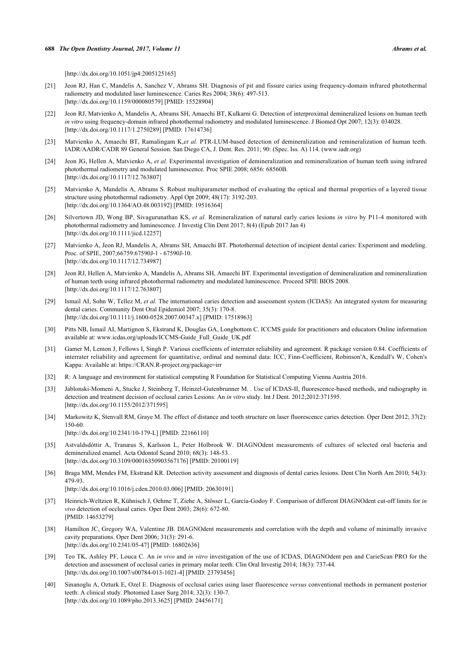[\[http://dx.doi.org/10.1051/jp4:2005125165](http://dx.doi.org/10.1051/jp4:2005125165)]

- [21] Jeon RJ, Han C, Mandelis A, Sanchez V, Abrams SH. Diagnosis of pit and fissure caries using frequency-domain infrared photothermal radiometry and modulated laser luminescence. Caries Res 2004; 38(6): 497-513. [\[http://dx.doi.org/10.1159/000080579\]](http://dx.doi.org/10.1159/000080579) [PMID: [15528904](http://www.ncbi.nlm.nih.gov/pubmed/15528904)]
- <span id="page-9-0"></span>[22] Jeon RJ, Matvienko A, Mandelis A, Abrams SH, Amaechi BT, Kulkarni G. Detection of interproximal demineralized lesions on human teeth *in vitro* using frequency-domain infrared photothermal radiometry and modulated luminescence. J Biomed Opt 2007; 12(3): 034028. [\[http://dx.doi.org/10.1117/1.2750289\]](http://dx.doi.org/10.1117/1.2750289) [PMID: [17614736](http://www.ncbi.nlm.nih.gov/pubmed/17614736)]
- <span id="page-9-1"></span>[23] Matvienko A, Amaechi BT, Ramalingam K,*et al.* PTR-LUM-based detection of demineralization and remineralization of human teeth. IADR/AADR/CADR 89 General Session. San Diego CA, J. Dent. Res. 2011; 90: (Spec. Iss. A) 114. [\(www.iadr.org\)](http://192.168.111.2/oa/www.iadr.org)
- [24] Jeon JG, Hellen A, Matvienko A, *et al.* Experimental investigation of demineralization and remineralization of human teeth using infrared photothermal radiometry and modulated luminescence. Proc SPIE 2008; 6856: 68560B. [\[http://dx.doi.org/10.1117/12.763807\]](http://dx.doi.org/10.1117/12.763807)
- [25] Matvienko A, Mandelis A, Abrams S. Robust multiparameter method of evaluating the optical and thermal properties of a layered tissue structure using photothermal radiometry. Appl Opt 2009; 48(17): 3192-203. [\[http://dx.doi.org/10.1364/AO.48.003192](http://dx.doi.org/10.1364/AO.48.003192)] [PMID: [19516364\]](http://www.ncbi.nlm.nih.gov/pubmed/19516364)
- <span id="page-9-2"></span>[26] Silvertown JD, Wong BP, Sivagurunathan KS, *et al.* Remineralization of natural early caries lesions *in vitro* by P11-4 monitored with photothermal radiometry and luminescence. J Investig Clin Dent 2017; 8(4) (Epub 2017 Jan 4) [\[http://dx.doi.org/10.1111/jicd.12257\]](http://dx.doi.org/10.1111/jicd.12257)
- <span id="page-9-3"></span>[27] Matvienko A, Jeon RJ, Mandelis A, Abrams SH, Amaechi BT. Photothermal detection of incipient dental caries: Experiment and modeling. Proc. of SPIE, 2007;66759:67590J-1 - 67590J-10. [\[http://dx.doi.org/10.1117/12.734987\]](http://dx.doi.org/10.1117/12.734987)
- <span id="page-9-4"></span>[28] Jeon RJ, Hellen A, Matvienko A, Mandelis A, Abrams SH, Amaechi BT. Experimental investigation of demineralization and remineralization of human teeth using infrared photothermal radiometry and modulated luminescence. Proceed SPIE BIOS 2008. [\[http://dx.doi.org/10.1117/12.763807\]](http://dx.doi.org/10.1117/12.763807)
- <span id="page-9-5"></span>[29] Ismail AI, Sohn W, Tellez M, et al. The international caries detection and assessment system (ICDAS): An integrated system for measuring dental caries. Community Dent Oral Epidemiol 2007; 35(3): 170-8. [\[http://dx.doi.org/10.1111/j.1600-0528.2007.00347.x\]](http://dx.doi.org/10.1111/j.1600-0528.2007.00347.x) [PMID: [17518963](http://www.ncbi.nlm.nih.gov/pubmed/17518963)]
- <span id="page-9-6"></span>[30] Pitts NB, Ismail AI, Martignon S, Ekstrand K, Douglas GA, Longbottom C. ICCMS guide for practitioners and educators Online information available at: [www.icdas.org/uploads/ICCMS-Guide\\_Full\\_Guide\\_UK.pdf](http://www.icdas.org/uploads/ICCMS-Guide_Full_Guide_UK.pdf)
- <span id="page-9-7"></span>[31] Gamer M, Lemon J, Fellows I, Singh P. Various coefficients of interrater reliability and agreement. R package version 0.84. Coefficients of interrater reliability and agreement for quantitative, ordinal and nominal data: ICC, Finn-Coefficient, Robinson'A, Kendall's W, Cohen's Kappa: Available at: <https://CRAN.R-project.org/package=irr>
- <span id="page-9-8"></span>[32] R: A language and environment for statistical computing R Foundation for Statistical Computing Vienna Austria 2016.
- <span id="page-9-9"></span>[33] Jablonski-Momeni A, Stucke J, Steinberg T, Heinzel-Gutenbrunner M. . Use of ICDAS-II, fluorescence-based methods, and radiography in detection and treatment decision of occlusal caries Lesions: An *in vitro* study. Int J Dent. 2012;2012:371595. [\[http://dx.doi.org/10.1155/2012/371595](http://dx.doi.org/10.1155/2012/371595)]
- <span id="page-9-10"></span>[34] Markowitz K, Stenvall RM, Graye M. The effect of distance and tooth structure on laser fluorescence caries detection. Oper Dent 2012; 37(2): 150-60.
	- [\[http://dx.doi.org/10.2341/10-179-L](http://dx.doi.org/10.2341/10-179-L)] [PMID: [22166110\]](http://www.ncbi.nlm.nih.gov/pubmed/22166110)
- <span id="page-9-11"></span>[35] Astvaldsdóttir A, Tranæus S, Karlsson L, Peter Holbrook W. DIAGNOdent measurements of cultures of selected oral bacteria and demineralized enamel. Acta Odontol Scand 2010; 68(3): 148-53. [\[http://dx.doi.org/10.3109/00016350903567176\]](http://dx.doi.org/10.3109/00016350903567176) [PMID: [20100119](http://www.ncbi.nlm.nih.gov/pubmed/20100119)]
- <span id="page-9-12"></span>[36] Braga MM, Mendes FM, Ekstrand KR. Detection activity assessment and diagnosis of dental caries lesions. Dent Clin North Am 2010; 54(3): 479-93.

[\[http://dx.doi.org/10.1016/j.cden.2010.03.006](http://dx.doi.org/10.1016/j.cden.2010.03.006)] [PMID: [20630191\]](http://www.ncbi.nlm.nih.gov/pubmed/20630191)

- <span id="page-9-13"></span>[37] Heinrich-Weltzien R, Kühnisch J, Oehme T, Ziehe A, Stösser L, García-Godoy F. Comparison of different DIAGNOdent cut-off limits for *in vivo* detection of occlusal caries. Oper Dent 2003; 28(6): 672-80. [PMID: [14653279\]](http://www.ncbi.nlm.nih.gov/pubmed/14653279)
- <span id="page-9-14"></span>[38] Hamilton JC, Gregory WA, Valentine JB. DIAGNOdent measurements and correlation with the depth and volume of minimally invasive cavity preparations. Oper Dent 2006; 31(3): 291-6. [\[http://dx.doi.org/10.2341/05-47](http://dx.doi.org/10.2341/05-47)] [PMID: [16802636](http://www.ncbi.nlm.nih.gov/pubmed/16802636)]
- [39] Teo TK, Ashley PF, Louca C. An *in vivo* and *in vitro* investigation of the use of ICDAS, DIAGNOdent pen and CarieScan PRO for the detection and assessment of occlusal caries in primary molar teeth. Clin Oral Investig 2014; 18(3): 737-44. [\[http://dx.doi.org/10.1007/s00784-013-1021-4\]](http://dx.doi.org/10.1007/s00784-013-1021-4) [PMID: [23793456](http://www.ncbi.nlm.nih.gov/pubmed/23793456)]
- <span id="page-9-15"></span>[40] Sinanoglu A, Ozturk E, Ozel E. Diagnosis of occlusal caries using laser fluorescence *versus* conventional methods in permanent posterior teeth: A clinical study. Photomed Laser Surg 2014; 32(3): 130-7. [\[http://dx.doi.org/10.1089/pho.2013.3625\]](http://dx.doi.org/10.1089/pho.2013.3625) [PMID: [24456171](http://www.ncbi.nlm.nih.gov/pubmed/24456171)]